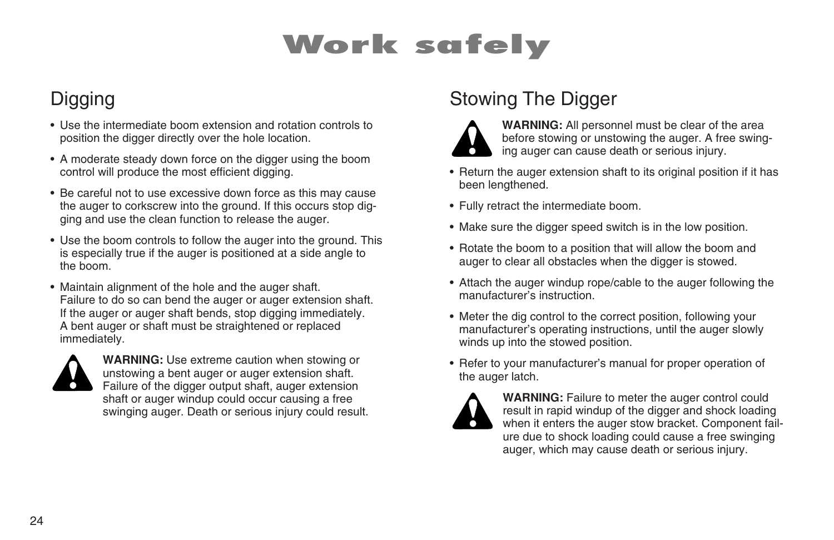### Digging

- Use the intermediate boom extension and rotation controls to position the digger directly over the hole location.
- A moderate steady down force on the digger using the boom control will produce the most efficient digging.
- Be careful not to use excessive down force as this may cause the auger to corkscrew into the ground. If this occurs stop digging and use the clean function to release the auger.
- Use the boom controls to follow the auger into the ground. This is especially true if the auger is positioned at a side angle to the boom.
- Maintain alignment of the hole and the auger shaft. Failure to do so can bend the auger or auger extension shaft. If the auger or auger shaft bends, stop digging immediately. A bent auger or shaft must be straightened or replaced immediately.



**WARNING:** Use extreme caution when stowing or unstowing a bent auger or auger extension shaft. Failure of the digger output shaft, auger extension shaft or auger windup could occur causing a free swinging auger. Death or serious injury could result.

### Stowing The Digger



**WARNING:** All personnel must be clear of the area before stowing or unstowing the auger. A free swinging auger can cause death or serious injury.

- Return the auger extension shaft to its original position if it has been lengthened.
- Fully retract the intermediate boom.
- Make sure the digger speed switch is in the low position.
- Rotate the boom to a position that will allow the boom and auger to clear all obstacles when the digger is stowed.
- Attach the auger windup rope/cable to the auger following the manufacturer's instruction.
- Meter the dig control to the correct position, following your manufacturer's operating instructions, until the auger slowly winds up into the stowed position.
- Refer to your manufacturer's manual for proper operation of the auger latch.



**WARNING:** Failure to meter the auger control could result in rapid windup of the digger and shock loading when it enters the auger stow bracket. Component failure due to shock loading could cause a free swinging auger, which may cause death or serious injury.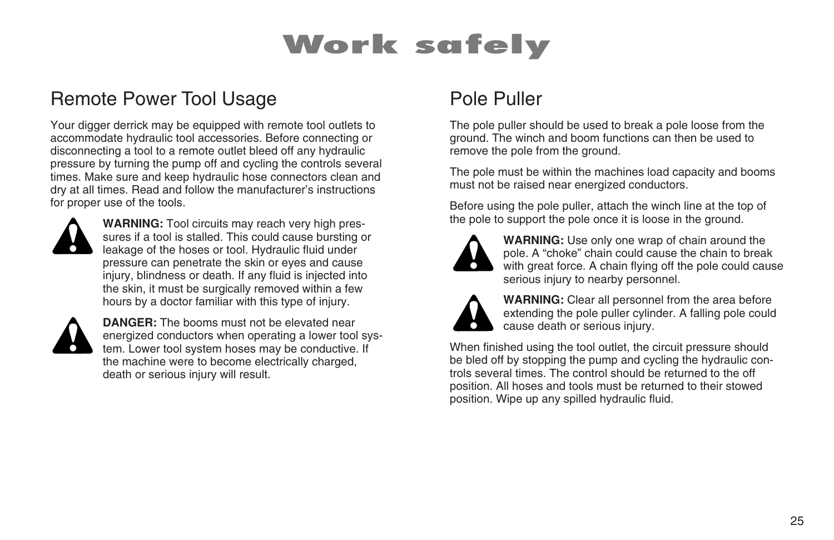#### Remote Power Tool Usage

Your digger derrick may be equipped with remote tool outlets to accommodate hydraulic tool accessories. Before connecting or disconnecting a tool to a remote outlet bleed off any hydraulic pressure by turning the pump off and cycling the controls several times. Make sure and keep hydraulic hose connectors clean and dry at all times. Read and follow the manufacturer's instructions for proper use of the tools.



**WARNING:** Tool circuits may reach very high pressures if a tool is stalled. This could cause bursting or leakage of the hoses or tool. Hydraulic fluid under pressure can penetrate the skin or eyes and cause injury, blindness or death. If any fluid is injected into the skin, it must be surgically removed within a few hours by a doctor familiar with this type of injury.



**DANGER:** The booms must not be elevated near energized conductors when operating a lower tool system. Lower tool system hoses may be conductive. If the machine were to become electrically charged, death or serious injury will result.

#### Pole Puller

The pole puller should be used to break a pole loose from the ground. The winch and boom functions can then be used to remove the pole from the ground.

The pole must be within the machines load capacity and booms must not be raised near energized conductors.

Before using the pole puller, attach the winch line at the top of the pole to support the pole once it is loose in the ground.



**WARNING:** Use only one wrap of chain around the pole. A "choke" chain could cause the chain to break with great force. A chain flying off the pole could cause serious injury to nearby personnel.



**WARNING:** Clear all personnel from the area before extending the pole puller cylinder. A falling pole could cause death or serious injury.

When finished using the tool outlet, the circuit pressure should be bled off by stopping the pump and cycling the hydraulic controls several times. The control should be returned to the off position. All hoses and tools must be returned to their stowed position. Wipe up any spilled hydraulic fluid.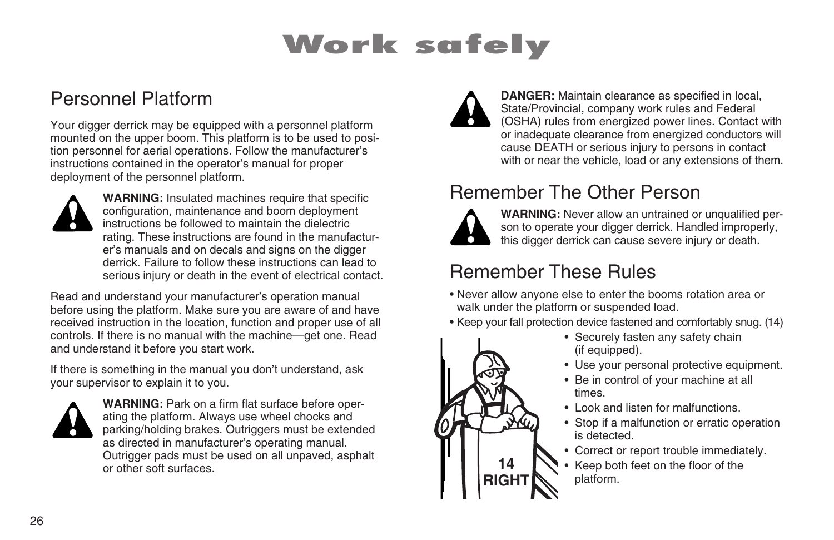#### Personnel Platform

Your digger derrick may be equipped with a personnel platform mounted on the upper boom. This platform is to be used to position personnel for aerial operations. Follow the manufacturer's instructions contained in the operator's manual for proper deployment of the personnel platform.



**WARNING:** Insulated machines require that specific configuration, maintenance and boom deployment instructions be followed to maintain the dielectric rating. These instructions are found in the manufacturer's manuals and on decals and signs on the digger derrick. Failure to follow these instructions can lead to serious injury or death in the event of electrical contact.

Read and understand your manufacturer's operation manual before using the platform. Make sure you are aware of and have received instruction in the location, function and proper use of all controls. If there is no manual with the machine—get one. Read and understand it before you start work.

If there is something in the manual you don't understand, ask your supervisor to explain it to you.



**WARNING:** Park on a firm flat surface before operating the platform. Always use wheel chocks and parking/holding brakes. Outriggers must be extended as directed in manufacturer's operating manual. Outrigger pads must be used on all unpaved, asphalt or other soft surfaces.



**DANGER:** Maintain clearance as specified in local, State/Provincial, company work rules and Federal (OSHA) rules from energized power lines. Contact with or inadequate clearance from energized conductors will cause DEATH or serious injury to persons in contact with or near the vehicle, load or any extensions of them.

### Remember The Other Person



**WARNING:** Never allow an untrained or unqualified person to operate your digger derrick. Handled improperly, this digger derrick can cause severe injury or death.

### Remember These Rules

- Never allow anyone else to enter the booms rotation area or walk under the platform or suspended load.
- Keep your fall protection device fastened and comfortably snug. (14)



- Securely fasten any safety chain (if equipped).
- Use your personal protective equipment.
- Be in control of your machine at all times.
- Look and listen for malfunctions.
- Stop if a malfunction or erratic operation is detected.
- Correct or report trouble immediately.
- Keep both feet on the floor of the platform.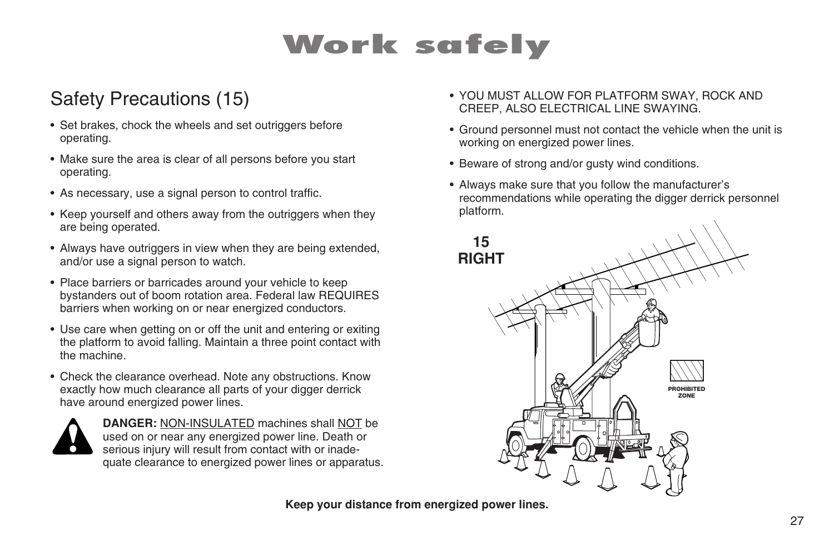### Safety Precautions (15)

- Set brakes, chock the wheels and set outriggers before operating.
- Make sure the area is clear of all persons before you start operating.
- As necessary, use a signal person to control traffic.
- Keep yourself and others away from the outriggers when they are being operated.
- Always have outriggers in view when they are being extended, and/or use a signal person to watch.
- Place barriers or barricades around your vehicle to keep bystanders out of boom rotation area. Federal law REQUIRES barriers when working on or near energized conductors.
- Use care when getting on or off the unit and entering or exiting the platform to avoid falling. Maintain a three point contact with the machine.
- Check the clearance overhead. Note any obstructions. Know exactly how much clearance all parts of your digger derrick have around energized power lines.



**DANGER:** NON-INSULATED machines shall NOT be used on or near any energized power line. Death or serious injury will result from contact with or inadequate clearance to energized power lines or apparatus.

- YOU MUST ALLOW FOR PLATFORM SWAY, ROCK AND CREEP, ALSO ELECTRICAL LINE SWAYING.
- Ground personnel must not contact the vehicle when the unit is working on energized power lines.
- Beware of strong and/or gusty wind conditions.
- Always make sure that you follow the manufacturer's recommendations while operating the digger derrick personnel platform.



**Keep your distance from energized power lines.**